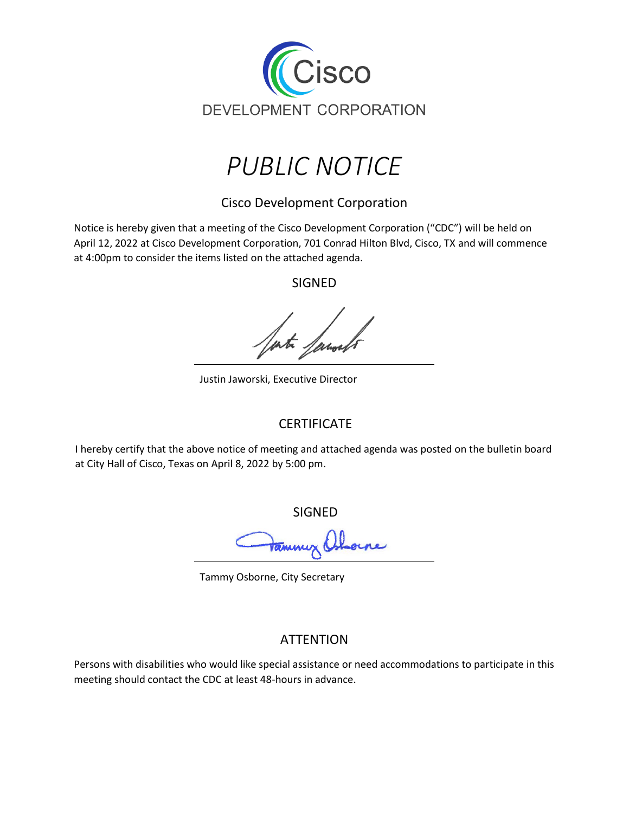



Cisco Development Corporation

Notice is hereby given that a meeting of the Cisco Development Corporation ("CDC") will be held on April 12, 2022 at Cisco Development Corporation, 701 Conrad Hilton Blvd, Cisco, TX and will commence at 4:00pm to consider the items listed on the attached agenda.

SIGNED

Justin Jaworski, Executive Director

## **CERTIFICATE**

I hereby certify that the above notice of meeting and attached agenda was posted on the bulletin board at City Hall of Cisco, Texas on April 8, 2022 by 5:00 pm.

SIGNED

<del>Va</del>mmy Osh rne

Tammy Osborne, City Secretary

## **ATTENTION**

Persons with disabilities who would like special assistance or need accommodations to participate in this meeting should contact the CDC at least 48-hours in advance.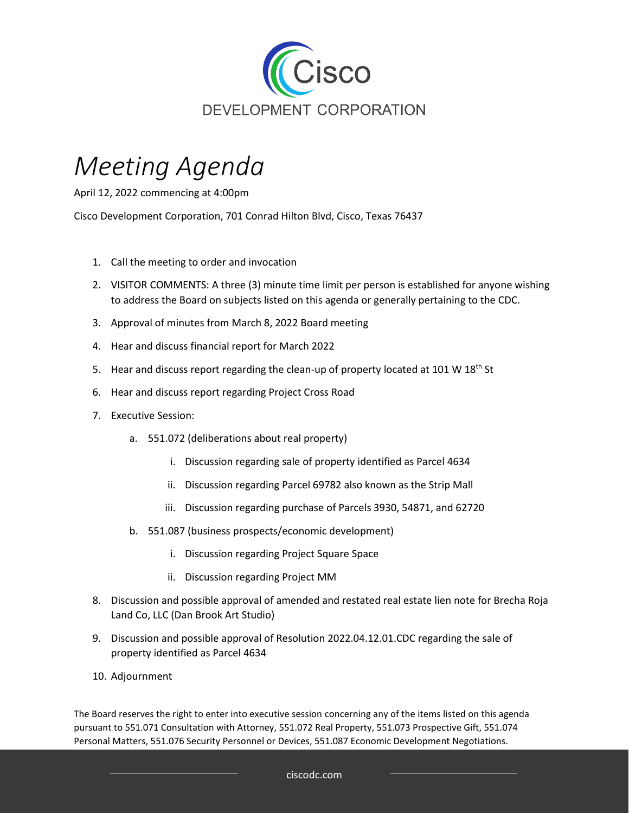

## *Meeting Agenda*

April 12, 2022 commencing at 4:00pm

Cisco Development Corporation, 701 Conrad Hilton Blvd, Cisco, Texas 76437

- 1. Call the meeting to order and invocation
- 2. VISITOR COMMENTS: A three (3) minute time limit per person is established for anyone wishing to address the Board on subjects listed on this agenda or generally pertaining to the CDC.
- 3. Approval of minutes from March 8, 2022 Board meeting
- 4. Hear and discuss financial report for March 2022
- 5. Hear and discuss report regarding the clean-up of property located at 101 W  $18<sup>th</sup>$  St
- 6. Hear and discuss report regarding Project Cross Road
- 7. Executive Session:
	- a. 551.072 (deliberations about real property)
		- i. Discussion regarding sale of property identified as Parcel 4634
		- ii. Discussion regarding Parcel 69782 also known as the Strip Mall
		- iii. Discussion regarding purchase of Parcels 3930, 54871, and 62720
	- b. 551.087 (business prospects/economic development)
		- i. Discussion regarding Project Square Space
		- ii. Discussion regarding Project MM
- 8. Discussion and possible approval of amended and restated real estate lien note for Brecha Roja Land Co, LLC (Dan Brook Art Studio)
- 9. Discussion and possible approval of Resolution 2022.04.12.01.CDC regarding the sale of property identified as Parcel 4634
- 10. Adjournment

The Board reserves the right to enter into executive session concerning any of the items listed on this agenda pursuant to 551.071 Consultation with Attorney, 551.072 Real Property, 551.073 Prospective Gift, 551.074 Personal Matters, 551.076 Security Personnel or Devices, 551.087 Economic Development Negotiations.